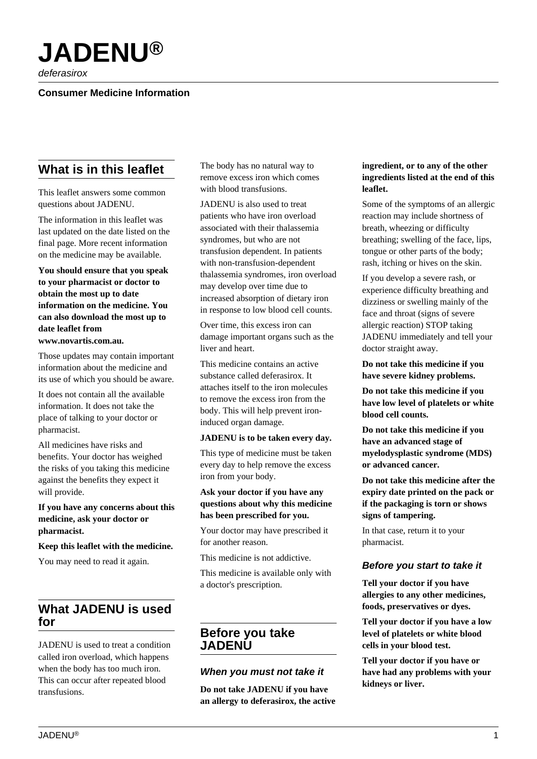

deferasirox

# **Consumer Medicine Information**

# **What is in this leaflet**

This leaflet answers some common questions about JADENU.

The information in this leaflet was last updated on the date listed on the final page. More recent information on the medicine may be available.

**You should ensure that you speak to your pharmacist or doctor to obtain the most up to date information on the medicine. You can also download the most up to date leaflet from www.novartis.com.au.**

Those updates may contain important information about the medicine and

its use of which you should be aware.

It does not contain all the available information. It does not take the place of talking to your doctor or pharmacist.

All medicines have risks and benefits. Your doctor has weighed the risks of you taking this medicine against the benefits they expect it will provide.

#### **If you have any concerns about this medicine, ask your doctor or pharmacist.**

#### **Keep this leaflet with the medicine.**

You may need to read it again.

# **What JADENU is used for**

JADENU is used to treat a condition called iron overload, which happens when the body has too much iron. This can occur after repeated blood transfusions.

The body has no natural way to remove excess iron which comes with blood transfusions.

JADENU is also used to treat patients who have iron overload associated with their thalassemia syndromes, but who are not transfusion dependent. In patients with non-transfusion-dependent thalassemia syndromes, iron overload may develop over time due to increased absorption of dietary iron in response to low blood cell counts.

Over time, this excess iron can damage important organs such as the liver and heart.

This medicine contains an active substance called deferasirox. It attaches itself to the iron molecules to remove the excess iron from the body. This will help prevent ironinduced organ damage.

#### **JADENU is to be taken every day.**

This type of medicine must be taken every day to help remove the excess iron from your body.

#### **Ask your doctor if you have any questions about why this medicine has been prescribed for you.**

Your doctor may have prescribed it for another reason.

This medicine is not addictive.

This medicine is available only with a doctor's prescription.

# **Before you take JADENU**

#### **When you must not take it**

**Do not take JADENU if you have an allergy to deferasirox, the active**

#### **ingredient, or to any of the other ingredients listed at the end of this leaflet.**

Some of the symptoms of an allergic reaction may include shortness of breath, wheezing or difficulty breathing; swelling of the face, lips, tongue or other parts of the body; rash, itching or hives on the skin.

If you develop a severe rash, or experience difficulty breathing and dizziness or swelling mainly of the face and throat (signs of severe allergic reaction) STOP taking JADENU immediately and tell your doctor straight away.

**Do not take this medicine if you have severe kidney problems.**

**Do not take this medicine if you have low level of platelets or white blood cell counts.**

**Do not take this medicine if you have an advanced stage of myelodysplastic syndrome (MDS) or advanced cancer.**

**Do not take this medicine after the expiry date printed on the pack or if the packaging is torn or shows signs of tampering.**

In that case, return it to your pharmacist.

## **Before you start to take it**

**Tell your doctor if you have allergies to any other medicines, foods, preservatives or dyes.**

**Tell your doctor if you have a low level of platelets or white blood cells in your blood test.**

**Tell your doctor if you have or have had any problems with your kidneys or liver.**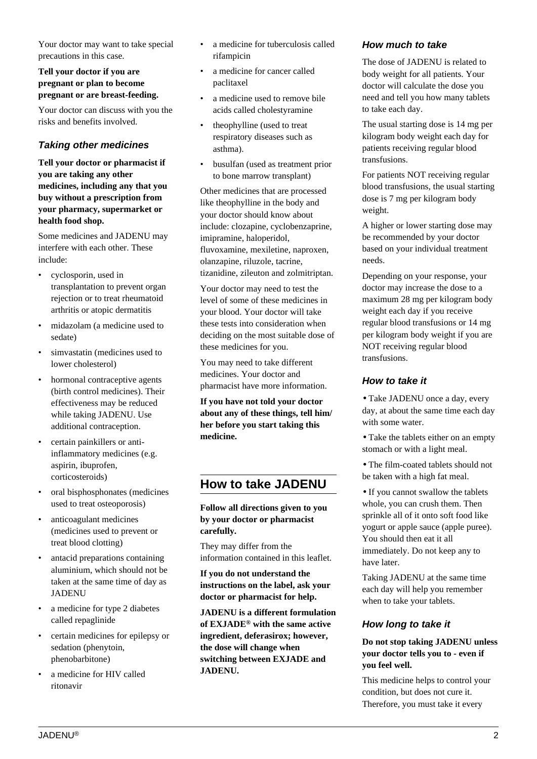Your doctor may want to take special precautions in this case.

### **Tell your doctor if you are pregnant or plan to become pregnant or are breast-feeding.**

Your doctor can discuss with you the risks and benefits involved.

# **Taking other medicines**

**Tell your doctor or pharmacist if you are taking any other medicines, including any that you buy without a prescription from your pharmacy, supermarket or health food shop.**

Some medicines and JADENU may interfere with each other. These include:

- cyclosporin, used in transplantation to prevent organ rejection or to treat rheumatoid arthritis or atopic dermatitis
- midazolam (a medicine used to sedate)
- simvastatin (medicines used to lower cholesterol)
- hormonal contraceptive agents (birth control medicines). Their effectiveness may be reduced while taking JADENU. Use additional contraception.
- certain painkillers or antiinflammatory medicines (e.g. aspirin, ibuprofen, corticosteroids)
- oral bisphosphonates (medicines used to treat osteoporosis)
- anticoagulant medicines (medicines used to prevent or treat blood clotting)
- antacid preparations containing aluminium, which should not be taken at the same time of day as JADENU
- a medicine for type 2 diabetes called repaglinide
- certain medicines for epilepsy or sedation (phenytoin, phenobarbitone)
- a medicine for HIV called ritonavir
- a medicine for tuberculosis called rifampicin
- a medicine for cancer called paclitaxel
- a medicine used to remove bile acids called cholestyramine
- theophylline (used to treat respiratory diseases such as asthma).
- busulfan (used as treatment prior to bone marrow transplant)

Other medicines that are processed like theophylline in the body and your doctor should know about include: clozapine, cyclobenzaprine, imipramine, haloperidol, fluvoxamine, mexiletine, naproxen, olanzapine, riluzole, tacrine, tizanidine, zileuton and zolmitriptan.

Your doctor may need to test the level of some of these medicines in your blood. Your doctor will take these tests into consideration when deciding on the most suitable dose of these medicines for you.

You may need to take different medicines. Your doctor and pharmacist have more information.

**If you have not told your doctor about any of these things, tell him/ her before you start taking this medicine.**

# **How to take JADENU**

**Follow all directions given to you by your doctor or pharmacist carefully.**

They may differ from the information contained in this leaflet.

**If you do not understand the instructions on the label, ask your doctor or pharmacist for help.**

**JADENU is a different formulation of EXJADE® with the same active ingredient, deferasirox; however, the dose will change when switching between EXJADE and JADENU.**

## **How much to take**

The dose of JADENU is related to body weight for all patients. Your doctor will calculate the dose you need and tell you how many tablets to take each day.

The usual starting dose is 14 mg per kilogram body weight each day for patients receiving regular blood transfusions.

For patients NOT receiving regular blood transfusions, the usual starting dose is 7 mg per kilogram body weight.

A higher or lower starting dose may be recommended by your doctor based on your individual treatment needs.

Depending on your response, your doctor may increase the dose to a maximum 28 mg per kilogram body weight each day if you receive regular blood transfusions or 14 mg per kilogram body weight if you are NOT receiving regular blood transfusions.

## **How to take it**

• Take JADENU once a day, every day, at about the same time each day with some water.

- Take the tablets either on an empty stomach or with a light meal.
- The film-coated tablets should not be taken with a high fat meal.

• If you cannot swallow the tablets whole, you can crush them. Then sprinkle all of it onto soft food like yogurt or apple sauce (apple puree). You should then eat it all immediately. Do not keep any to have later.

Taking JADENU at the same time each day will help you remember when to take your tablets.

## **How long to take it**

### **Do not stop taking JADENU unless your doctor tells you to - even if you feel well.**

This medicine helps to control your condition, but does not cure it. Therefore, you must take it every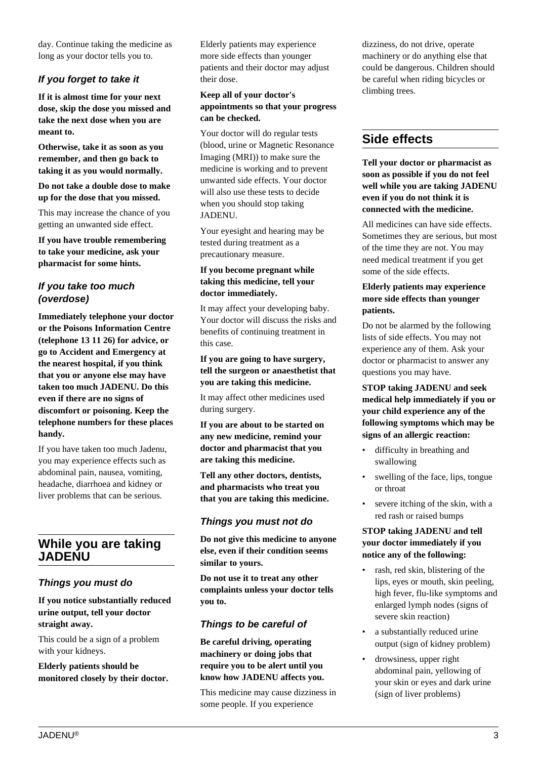day. Continue taking the medicine as long as your doctor tells you to.

## **If you forget to take it**

**If it is almost time for your next dose, skip the dose you missed and take the next dose when you are meant to.**

**Otherwise, take it as soon as you remember, and then go back to taking it as you would normally.**

**Do not take a double dose to make up for the dose that you missed.**

This may increase the chance of you getting an unwanted side effect.

**If you have trouble remembering to take your medicine, ask your pharmacist for some hints.**

## **If you take too much (overdose)**

**Immediately telephone your doctor or the Poisons Information Centre (telephone 13 11 26) for advice, or go to Accident and Emergency at the nearest hospital, if you think that you or anyone else may have taken too much JADENU. Do this even if there are no signs of discomfort or poisoning. Keep the telephone numbers for these places handy.**

If you have taken too much Jadenu, you may experience effects such as abdominal pain, nausea, vomiting, headache, diarrhoea and kidney or liver problems that can be serious.

# **While you are taking JADENU**

## **Things you must do**

**If you notice substantially reduced urine output, tell your doctor straight away.**

This could be a sign of a problem with your kidneys.

**Elderly patients should be monitored closely by their doctor.** Elderly patients may experience more side effects than younger patients and their doctor may adjust their dose.

#### **Keep all of your doctor's appointments so that your progress can be checked.**

Your doctor will do regular tests (blood, urine or Magnetic Resonance Imaging (MRI)) to make sure the medicine is working and to prevent unwanted side effects. Your doctor will also use these tests to decide when you should stop taking JADENU.

Your eyesight and hearing may be tested during treatment as a precautionary measure.

#### **If you become pregnant while taking this medicine, tell your doctor immediately.**

It may affect your developing baby. Your doctor will discuss the risks and benefits of continuing treatment in this case.

#### **If you are going to have surgery, tell the surgeon or anaesthetist that you are taking this medicine.**

It may affect other medicines used during surgery.

**If you are about to be started on any new medicine, remind your doctor and pharmacist that you are taking this medicine.**

**Tell any other doctors, dentists, and pharmacists who treat you that you are taking this medicine.**

## **Things you must not do**

**Do not give this medicine to anyone else, even if their condition seems similar to yours.**

**Do not use it to treat any other complaints unless your doctor tells you to.**

## **Things to be careful of**

**Be careful driving, operating machinery or doing jobs that require you to be alert until you know how JADENU affects you.**

This medicine may cause dizziness in some people. If you experience

dizziness, do not drive, operate machinery or do anything else that could be dangerous. Children should be careful when riding bicycles or climbing trees.

# **Side effects**

**Tell your doctor or pharmacist as soon as possible if you do not feel well while you are taking JADENU even if you do not think it is connected with the medicine.**

All medicines can have side effects. Sometimes they are serious, but most of the time they are not. You may need medical treatment if you get some of the side effects.

#### **Elderly patients may experience more side effects than younger patients.**

Do not be alarmed by the following lists of side effects. You may not experience any of them. Ask your doctor or pharmacist to answer any questions you may have.

**STOP taking JADENU and seek medical help immediately if you or your child experience any of the following symptoms which may be signs of an allergic reaction:**

- difficulty in breathing and swallowing
- swelling of the face, lips, tongue or throat
- severe itching of the skin, with a red rash or raised bumps

### **STOP taking JADENU and tell your doctor immediately if you notice any of the following:**

- rash, red skin, blistering of the lips, eyes or mouth, skin peeling, high fever, flu-like symptoms and enlarged lymph nodes (signs of severe skin reaction)
- a substantially reduced urine output (sign of kidney problem)
- drowsiness, upper right abdominal pain, yellowing of your skin or eyes and dark urine (sign of liver problems)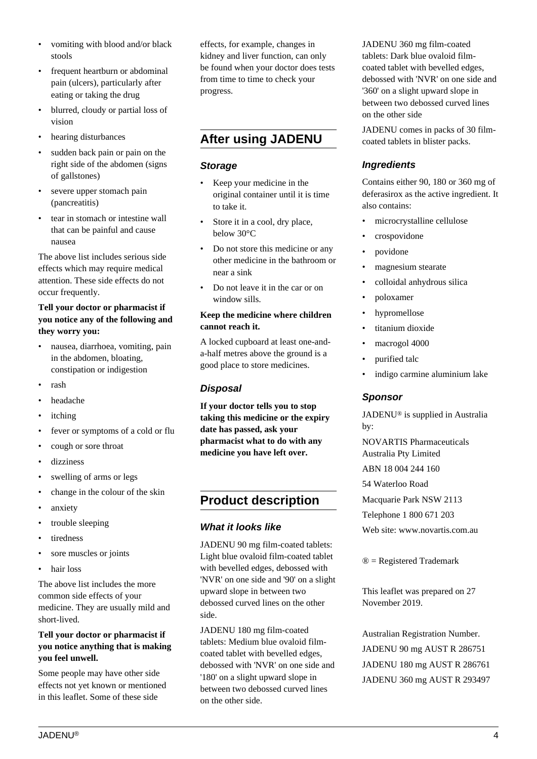- vomiting with blood and/or black stools
- frequent heartburn or abdominal pain (ulcers), particularly after eating or taking the drug
- blurred, cloudy or partial loss of vision
- hearing disturbances
- sudden back pain or pain on the right side of the abdomen (signs of gallstones)
- severe upper stomach pain (pancreatitis)
- tear in stomach or intestine wall that can be painful and cause nausea

The above list includes serious side effects which may require medical attention. These side effects do not occur frequently.

#### **Tell your doctor or pharmacist if you notice any of the following and they worry you:**

- nausea, diarrhoea, vomiting, pain in the abdomen, bloating, constipation or indigestion
- rash
- headache
- itching
- fever or symptoms of a cold or flu
- cough or sore throat
- dizziness
- swelling of arms or legs
- change in the colour of the skin
- anxiety
- trouble sleeping
- tiredness
- sore muscles or joints
- hair loss

The above list includes the more common side effects of your medicine. They are usually mild and short-lived.

#### **Tell your doctor or pharmacist if you notice anything that is making you feel unwell.**

Some people may have other side effects not yet known or mentioned in this leaflet. Some of these side

effects, for example, changes in kidney and liver function, can only be found when your doctor does tests from time to time to check your progress.

# **After using JADENU**

#### **Storage**

- Keep your medicine in the original container until it is time to take it.
- Store it in a cool, dry place, below 30°C
- Do not store this medicine or any other medicine in the bathroom or near a sink
- Do not leave it in the car or on window sills.

#### **Keep the medicine where children cannot reach it.**

A locked cupboard at least one-anda-half metres above the ground is a good place to store medicines.

## **Disposal**

**If your doctor tells you to stop taking this medicine or the expiry date has passed, ask your pharmacist what to do with any medicine you have left over.**

# **Product description**

## **What it looks like**

JADENU 90 mg film-coated tablets: Light blue ovaloid film-coated tablet with bevelled edges, debossed with 'NVR' on one side and '90' on a slight upward slope in between two debossed curved lines on the other side.

JADENU 180 mg film-coated tablets: Medium blue ovaloid filmcoated tablet with bevelled edges, debossed with 'NVR' on one side and '180' on a slight upward slope in between two debossed curved lines on the other side.

JADENU 360 mg film-coated tablets: Dark blue ovaloid filmcoated tablet with bevelled edges, debossed with 'NVR' on one side and '360' on a slight upward slope in between two debossed curved lines on the other side

JADENU comes in packs of 30 filmcoated tablets in blister packs.

## **Ingredients**

Contains either 90, 180 or 360 mg of deferasirox as the active ingredient. It also contains:

- microcrystalline cellulose
- crospovidone
- povidone
- magnesium stearate
- colloidal anhydrous silica
- poloxamer
- hypromellose
- titanium dioxide
- macrogol 4000
- purified talc
- indigo carmine aluminium lake

## **Sponsor**

JADENU® is supplied in Australia by:

NOVARTIS Pharmaceuticals Australia Pty Limited ABN 18 004 244 160 54 Waterloo Road

Macquarie Park NSW 2113

Telephone 1 800 671 203

Web site: www.novartis.com.au

 $\mathcal{D}$  = Registered Trademark

This leaflet was prepared on 27 November 2019.

Australian Registration Number. JADENU 90 mg AUST R 286751 JADENU 180 mg AUST R 286761 JADENU 360 mg AUST R 293497